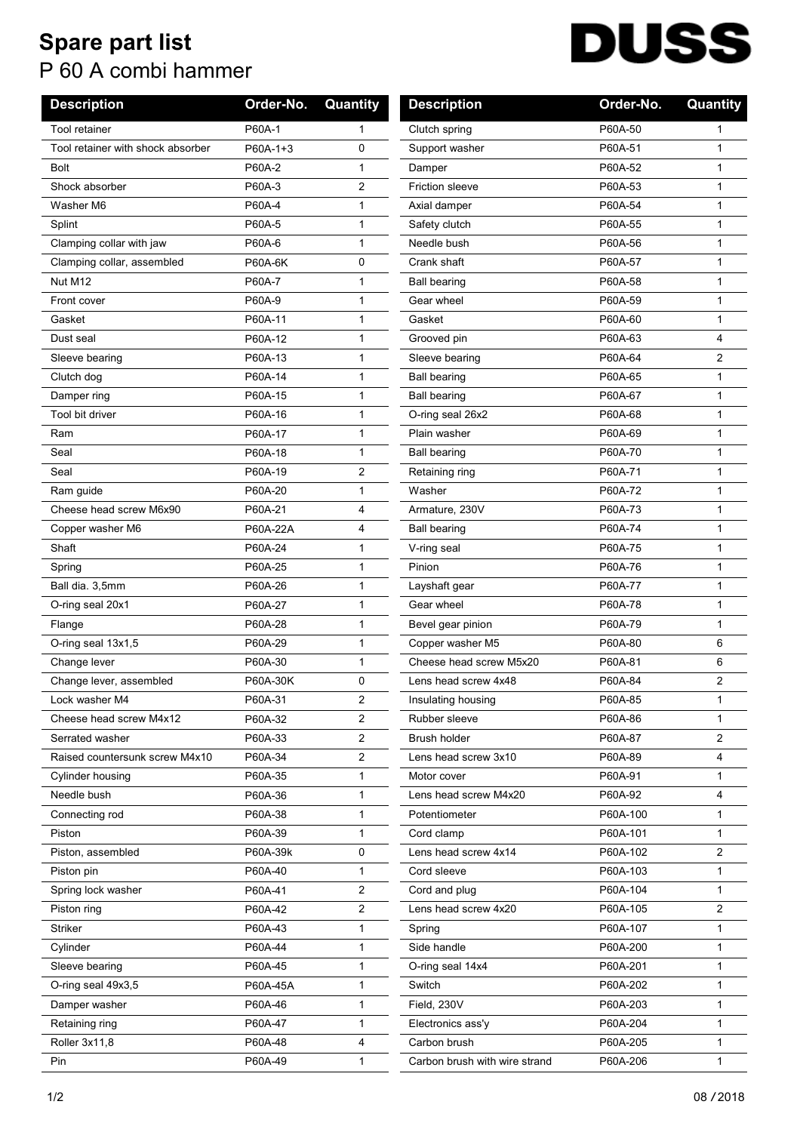## **Spare part list** P 60 A combi hammer

## **DUSS**  $\overline{\phantom{a}}$

| <b>Description</b>                | Order-No. | Quantity | <b>Description</b>            | Order-No. | Quantity     |
|-----------------------------------|-----------|----------|-------------------------------|-----------|--------------|
| <b>Tool retainer</b>              | P60A-1    | 1        | Clutch spring                 | P60A-50   |              |
| Tool retainer with shock absorber | P60A-1+3  | 0        | Support washer                | P60A-51   | $\mathbf{1}$ |
| <b>Bolt</b>                       | P60A-2    | 1        | Damper                        | P60A-52   | 1            |
| Shock absorber                    | P60A-3    | 2        | Friction sleeve               | P60A-53   | 1            |
| Washer M6                         | P60A-4    | 1        | Axial damper                  | P60A-54   | 1            |
| Splint                            | P60A-5    | 1        | Safety clutch                 | P60A-55   | 1            |
| Clamping collar with jaw          | P60A-6    | 1        | Needle bush                   | P60A-56   | 1            |
| Clamping collar, assembled        | P60A-6K   | 0        | Crank shaft                   | P60A-57   | 1            |
| Nut M12                           | P60A-7    | 1        | <b>Ball bearing</b>           | P60A-58   | $\mathbf{1}$ |
| Front cover                       | P60A-9    | 1        | Gear wheel                    | P60A-59   | 1            |
| Gasket                            | P60A-11   | 1        | Gasket                        | P60A-60   | $\mathbf{1}$ |
| Dust seal                         | P60A-12   | 1        | Grooved pin                   | P60A-63   | 4            |
| Sleeve bearing                    | P60A-13   | 1        | Sleeve bearing                | P60A-64   | 2            |
| Clutch dog                        | P60A-14   | 1        | <b>Ball bearing</b>           | P60A-65   | 1            |
| Damper ring                       | P60A-15   | 1        | <b>Ball bearing</b>           | P60A-67   | 1            |
| Tool bit driver                   | P60A-16   | 1        | O-ring seal 26x2              | P60A-68   | 1            |
| Ram                               | P60A-17   | 1        | Plain washer                  | P60A-69   | 1            |
| Seal                              | P60A-18   | 1        | <b>Ball bearing</b>           | P60A-70   | 1            |
| Seal                              | P60A-19   | 2        | Retaining ring                | P60A-71   | $\mathbf{1}$ |
| Ram guide                         | P60A-20   | 1        | Washer                        | P60A-72   | 1            |
| Cheese head screw M6x90           | P60A-21   | 4        | Armature, 230V                | P60A-73   | 1            |
| Copper washer M6                  | P60A-22A  | 4        | <b>Ball bearing</b>           | P60A-74   | 1            |
| Shaft                             | P60A-24   | 1        | V-ring seal                   | P60A-75   | $\mathbf{1}$ |
| Spring                            | P60A-25   | 1        | Pinion                        | P60A-76   | 1            |
| Ball dia. 3,5mm                   | P60A-26   | 1        | Layshaft gear                 | P60A-77   | 1            |
| O-ring seal 20x1                  | P60A-27   | 1        | Gear wheel                    | P60A-78   | 1            |
| Flange                            | P60A-28   | 1        | Bevel gear pinion             | P60A-79   | $\mathbf{1}$ |
| O-ring seal 13x1,5                | P60A-29   | 1        | Copper washer M5              | P60A-80   | 6            |
| Change lever                      | P60A-30   | 1        | Cheese head screw M5x20       | P60A-81   | 6            |
| Change lever, assembled           | P60A-30K  | 0        | Lens head screw 4x48          | P60A-84   | 2            |
| Lock washer M4                    | P60A-31   | 2        | Insulating housing            | P60A-85   | 1            |
| Cheese head screw M4x12           | P60A-32   | 2        | Rubber sleeve                 | P60A-86   | 1            |
| Serrated washer                   | P60A-33   | 2        | Brush holder                  | P60A-87   | 2            |
| Raised countersunk screw M4x10    | P60A-34   | 2        | Lens head screw 3x10          | P60A-89   | 4            |
| Cylinder housing                  | P60A-35   | 1        | Motor cover                   | P60A-91   | 1            |
| Needle bush                       | P60A-36   | 1        | Lens head screw M4x20         | P60A-92   | 4            |
| Connecting rod                    | P60A-38   | 1        | Potentiometer                 | P60A-100  | 1            |
| Piston                            | P60A-39   | 1        | Cord clamp                    | P60A-101  | $\mathbf{1}$ |
| Piston, assembled                 | P60A-39k  | 0        | Lens head screw 4x14          | P60A-102  | 2            |
| Piston pin                        | P60A-40   | 1        | Cord sleeve                   | P60A-103  | 1            |
| Spring lock washer                | P60A-41   | 2        | Cord and plug                 | P60A-104  | 1            |
| Piston ring                       | P60A-42   | 2        | Lens head screw 4x20          | P60A-105  | 2            |
| Striker                           | P60A-43   | 1        | Spring                        | P60A-107  | 1            |
| Cylinder                          | P60A-44   | 1        | Side handle                   | P60A-200  | 1            |
| Sleeve bearing                    | P60A-45   | 1        | O-ring seal 14x4              | P60A-201  | $\mathbf{1}$ |
| O-ring seal 49x3,5                | P60A-45A  | 1        | Switch                        | P60A-202  | 1            |
| Damper washer                     | P60A-46   | 1        | Field, 230V                   | P60A-203  | 1            |
| Retaining ring                    | P60A-47   | 1        | Electronics ass'y             | P60A-204  | $\mathbf{1}$ |
| Roller 3x11,8                     | P60A-48   | 4        | Carbon brush                  | P60A-205  | 1            |
| Pin                               | P60A-49   | 1        | Carbon brush with wire strand | P60A-206  | $\mathbf{1}$ |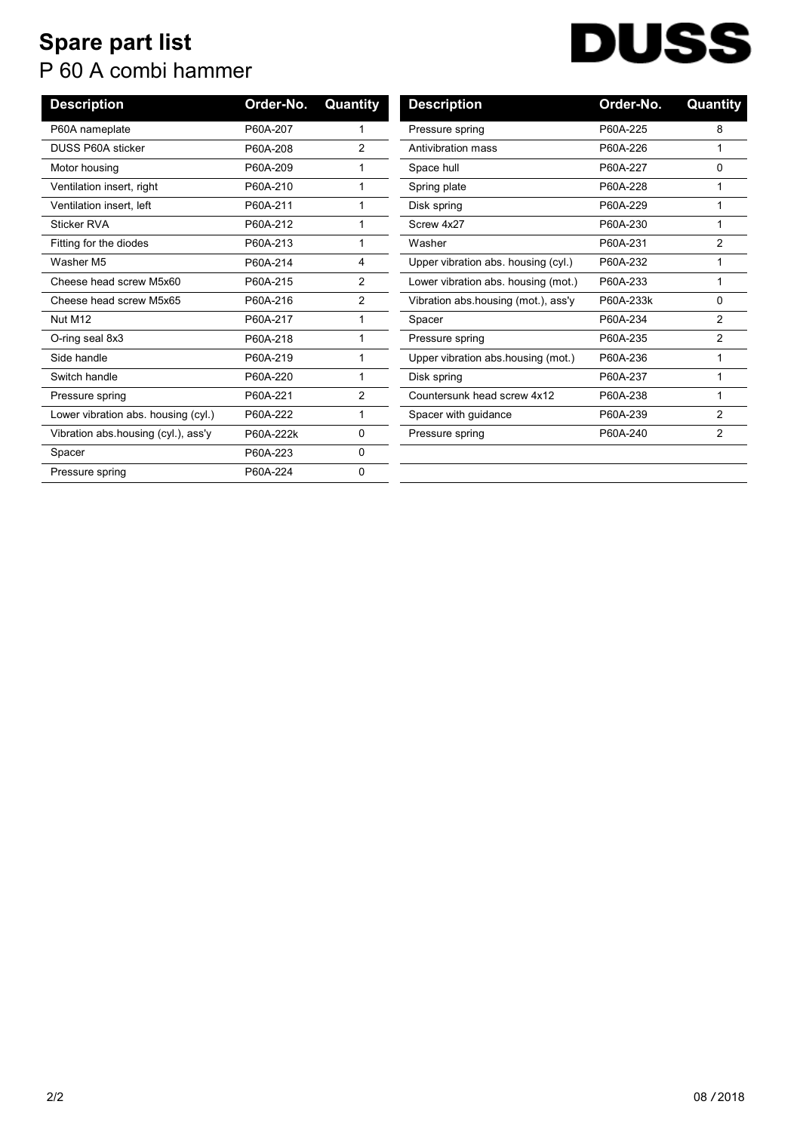## **Spare part list** P 60 A combi hammer

| DUSS |  |  |
|------|--|--|
|      |  |  |

| Order-No.<br>Quant |
|--------------------|
| 8                  |
| 1                  |
| 0                  |
|                    |
|                    |
| 1                  |
| $\overline{2}$     |
| 1                  |
| 1                  |
| 0                  |
| $\overline{2}$     |
| $\overline{2}$     |
| 1                  |
|                    |
| 1                  |
| 2                  |
| 2                  |
|                    |
|                    |
|                    |

| <b>Description</b>                  | Order-No. | Quantity      |
|-------------------------------------|-----------|---------------|
| Pressure spring                     | P60A-225  | 8             |
| Antivibration mass                  | P60A-226  | 1             |
| Space hull                          | P60A-227  | 0             |
| Spring plate                        | P60A-228  | 1             |
| Disk spring                         | P60A-229  | 1             |
| Screw 4x27                          | P60A-230  | 1             |
| Washer                              | P60A-231  | 2             |
| Upper vibration abs. housing (cyl.) | P60A-232  | 1             |
| Lower vibration abs. housing (mot.) | P60A-233  | 1             |
| Vibration abs housing (mot.), ass'y | P60A-233k | 0             |
| Spacer                              | P60A-234  | $\mathcal{P}$ |
| Pressure spring                     | P60A-235  | 2             |
| Upper vibration abs housing (mot.)  | P60A-236  | 1             |
| Disk spring                         | P60A-237  | 1             |
| Countersunk head screw 4x12         | P60A-238  | 1             |
| Spacer with guidance                | P60A-239  | 2             |
| Pressure spring                     | P60A-240  | 2             |
|                                     |           |               |